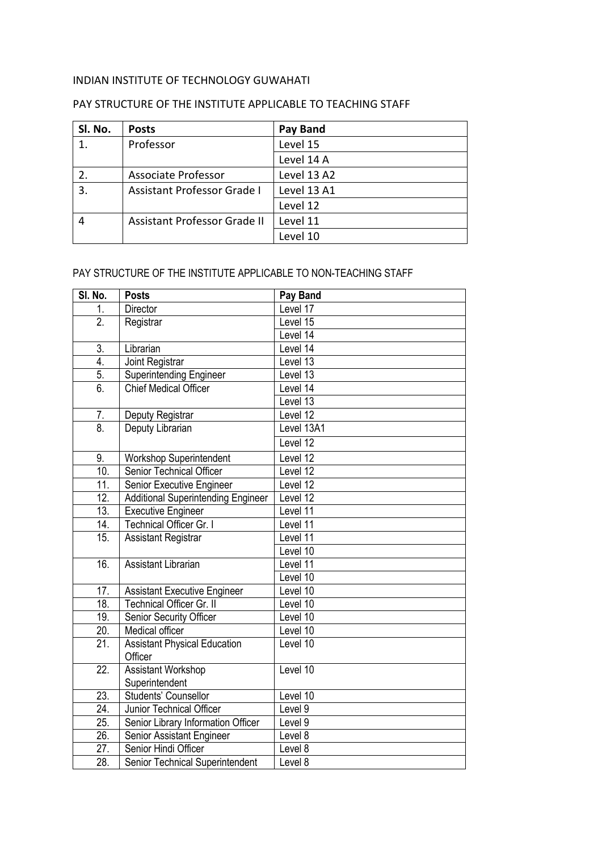## INDIAN INSTITUTE OF TECHNOLOGY GUWAHATI

## PAY STRUCTURE OF THE INSTITUTE APPLICABLE TO TEACHING STAFF

| SI. No. | <b>Posts</b>                        | Pay Band    |
|---------|-------------------------------------|-------------|
|         | Professor                           | Level 15    |
|         |                                     | Level 14 A  |
|         | Associate Professor                 | Level 13 A2 |
| 3.      | <b>Assistant Professor Grade I</b>  | Level 13 A1 |
|         |                                     | Level 12    |
|         | <b>Assistant Professor Grade II</b> | Level 11    |
|         |                                     | Level 10    |

## PAY STRUCTURE OF THE INSTITUTE APPLICABLE TO NON-TEACHING STAFF

| SI. No.           | <b>Posts</b>                              | Pay Band   |
|-------------------|-------------------------------------------|------------|
| 1.                | Director                                  | Level 17   |
| $\overline{2}$ .  | Registrar                                 | Level 15   |
|                   |                                           | Level 14   |
| 3.                | Librarian                                 | Level 14   |
| 4.                | Joint Registrar                           | Level 13   |
| 5.                | <b>Superintending Engineer</b>            | Level 13   |
| 6.                | <b>Chief Medical Officer</b>              | Level 14   |
|                   |                                           | Level 13   |
| 7.                | Deputy Registrar                          | Level 12   |
| 8.                | Deputy Librarian                          | Level 13A1 |
|                   |                                           | Level 12   |
| 9.                | Workshop Superintendent                   | Level 12   |
| 10.               | <b>Senior Technical Officer</b>           | Level 12   |
| 11.               | Senior Executive Engineer                 | Level 12   |
| 12.               | <b>Additional Superintending Engineer</b> | Level 12   |
| $\overline{13}$ . | <b>Executive Engineer</b>                 | Level 11   |
| 14.               | Technical Officer Gr. I                   | Level 11   |
| $\overline{15}$ . | <b>Assistant Registrar</b>                | Level 11   |
|                   |                                           | Level 10   |
| $\overline{16}$ . | <b>Assistant Librarian</b>                | Level 11   |
|                   |                                           | Level 10   |
| 17.               | <b>Assistant Executive Engineer</b>       | Level 10   |
| 18.               | Technical Officer Gr. II                  | Level 10   |
| 19.               | Senior Security Officer                   | Level 10   |
| 20.               | Medical officer                           | Level 10   |
| 21.               | <b>Assistant Physical Education</b>       | Level 10   |
|                   | Officer                                   |            |
| 22.               | <b>Assistant Workshop</b>                 | Level 10   |
|                   | Superintendent                            |            |
| $\overline{2}3.$  | Students' Counsellor                      | Level 10   |
| $\overline{2}4.$  | Junior Technical Officer                  | Level 9    |
| $\overline{25}$ . | Senior Library Information Officer        | Level 9    |
| 26.               | Senior Assistant Engineer                 | Level 8    |
| 27.               | Senior Hindi Officer                      | Level 8    |
| 28.               | Senior Technical Superintendent           | Level 8    |